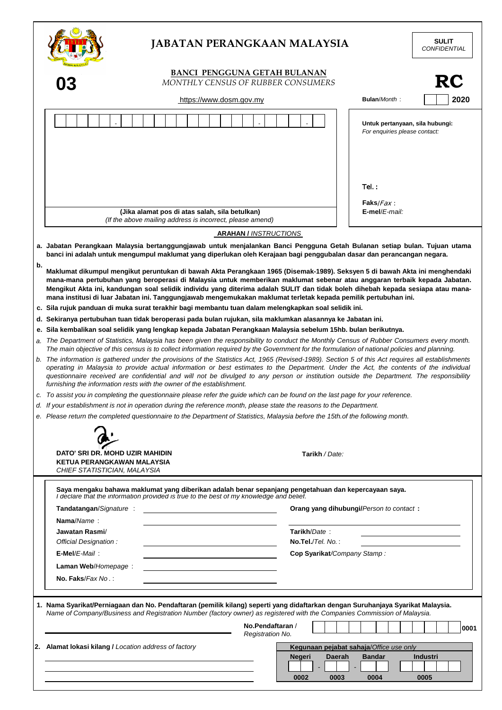|    | <b>JABATAN PERANGKAAN MALAYSIA</b>                                                                                                                                                                                                                                                                                                                                                                                                                                                                               |                                                                  | <b>SULIT</b><br><b>CONFIDENTIAL</b> |
|----|------------------------------------------------------------------------------------------------------------------------------------------------------------------------------------------------------------------------------------------------------------------------------------------------------------------------------------------------------------------------------------------------------------------------------------------------------------------------------------------------------------------|------------------------------------------------------------------|-------------------------------------|
|    | <b>BANCI PENGGUNA GETAH BULANAN</b><br>MONTHLY CENSUS OF RUBBER CONSUMERS                                                                                                                                                                                                                                                                                                                                                                                                                                        |                                                                  | RC                                  |
|    | https://www.dosm.gov.my                                                                                                                                                                                                                                                                                                                                                                                                                                                                                          | <b>Bulan/Month:</b>                                              | 2020                                |
|    |                                                                                                                                                                                                                                                                                                                                                                                                                                                                                                                  | Untuk pertanyaan, sila hubungi:<br>For enquiries please contact: |                                     |
|    |                                                                                                                                                                                                                                                                                                                                                                                                                                                                                                                  | Tel.:<br><b>Faks</b> / $Fax$ :                                   |                                     |
|    | (Jika alamat pos di atas salah, sila betulkan)<br>(If the above mailing address is incorrect, please amend)                                                                                                                                                                                                                                                                                                                                                                                                      | E-mel/E-mail:                                                    |                                     |
|    | <b>ARAHAN / INSTRUCTIONS</b>                                                                                                                                                                                                                                                                                                                                                                                                                                                                                     |                                                                  |                                     |
|    |                                                                                                                                                                                                                                                                                                                                                                                                                                                                                                                  |                                                                  |                                     |
|    | a. Jabatan Perangkaan Malaysia bertanggungjawab untuk menjalankan Banci Pengguna Getah Bulanan setiap bulan. Tujuan utama<br>banci ini adalah untuk mengumpul maklumat yang diperlukan oleh Kerajaan bagi penggubalan dasar dan perancangan negara.                                                                                                                                                                                                                                                              |                                                                  |                                     |
| b. | Maklumat dikumpul mengikut peruntukan di bawah Akta Perangkaan 1965 (Disemak-1989). Seksyen 5 di bawah Akta ini menghendaki<br>mana-mana pertubuhan yang beroperasi di Malaysia untuk memberikan maklumat sebenar atau anggaran terbaik kepada Jabatan.<br>Mengikut Akta ini, kandungan soal selidik individu yang diterima adalah SULIT dan tidak boleh dihebah kepada sesiapa atau mana-<br>mana institusi di luar Jabatan ini. Tanggungjawab mengemukakan maklumat terletak kepada pemilik pertubuhan ini.    |                                                                  |                                     |
|    | c. Sila rujuk panduan di muka surat terakhir bagi membantu tuan dalam melengkapkan soal selidik ini.                                                                                                                                                                                                                                                                                                                                                                                                             |                                                                  |                                     |
|    | d. Sekiranya pertubuhan tuan tidak beroperasi pada bulan rujukan, sila maklumkan alasannya ke Jabatan ini.                                                                                                                                                                                                                                                                                                                                                                                                       |                                                                  |                                     |
|    | e. Sila kembalikan soal selidik yang lengkap kepada Jabatan Perangkaan Malaysia sebelum 15hb. bulan berikutnya.                                                                                                                                                                                                                                                                                                                                                                                                  |                                                                  |                                     |
|    | a. The Department of Statistics, Malaysia has been given the responsibility to conduct the Monthly Census of Rubber Consumers every month.<br>The main objective of this census is to collect information required by the Government for the formulation of national policies and planning.                                                                                                                                                                                                                      |                                                                  |                                     |
|    | b. The information is gathered under the provisions of the Statistics Act, 1965 (Revised-1989). Section 5 of this Act requires all establishments<br>operating in Malaysia to provide actual information or best estimates to the Department. Under the Act, the contents of the individual<br>questionnaire received are confidential and will not be divulged to any person or institution outside the Department. The responsibility<br>furnishing the information rests with the owner of the establishment. |                                                                  |                                     |
|    | c. To assist you in completing the questionnaire please refer the guide which can be found on the last page for your reference.                                                                                                                                                                                                                                                                                                                                                                                  |                                                                  |                                     |
|    | d. If your establishment is not in operation during the reference month, please state the reasons to the Department.                                                                                                                                                                                                                                                                                                                                                                                             |                                                                  |                                     |
|    | e. Please return the completed questionnaire to the Department of Statistics, Malaysia before the 15th of the following month.                                                                                                                                                                                                                                                                                                                                                                                   |                                                                  |                                     |
|    |                                                                                                                                                                                                                                                                                                                                                                                                                                                                                                                  |                                                                  |                                     |
|    |                                                                                                                                                                                                                                                                                                                                                                                                                                                                                                                  |                                                                  |                                     |
|    | DATO' SRI DR. MOHD UZIR MAHIDIN<br>Tarikh / Date:<br>KETUA PERANGKAWAN MALAYSIA<br>CHIEF STATISTICIAN, MALAYSIA                                                                                                                                                                                                                                                                                                                                                                                                  |                                                                  |                                     |
|    |                                                                                                                                                                                                                                                                                                                                                                                                                                                                                                                  |                                                                  |                                     |
|    | Saya mengaku bahawa maklumat yang diberikan adalah benar sepanjang pengetahuan dan kepercayaan saya.<br>I declare that the information provided is true to the best of my knowledge and belief.                                                                                                                                                                                                                                                                                                                  |                                                                  |                                     |
|    | Orang yang dihubungi/Person to contact:<br>Tandatangan/Signature:                                                                                                                                                                                                                                                                                                                                                                                                                                                |                                                                  |                                     |
|    | Nama/Name:                                                                                                                                                                                                                                                                                                                                                                                                                                                                                                       |                                                                  |                                     |
|    | Tarikh/Date:<br>Jawatan Rasmi/                                                                                                                                                                                                                                                                                                                                                                                                                                                                                   |                                                                  |                                     |
|    | $No.Tel./Tel. No.$ :<br>Official Designation:                                                                                                                                                                                                                                                                                                                                                                                                                                                                    |                                                                  |                                     |
|    | E-Mel/E-Mail:<br>Cop Syarikat/Company Stamp:                                                                                                                                                                                                                                                                                                                                                                                                                                                                     |                                                                  |                                     |
|    | Laman Web/Homepage:                                                                                                                                                                                                                                                                                                                                                                                                                                                                                              |                                                                  |                                     |
|    | No. Faks/Fax No.:                                                                                                                                                                                                                                                                                                                                                                                                                                                                                                |                                                                  |                                     |
|    |                                                                                                                                                                                                                                                                                                                                                                                                                                                                                                                  |                                                                  |                                     |
|    | 1. Nama Syarikat/Perniagaan dan No. Pendaftaran (pemilik kilang) seperti yang didaftarkan dengan Suruhanjaya Syarikat Malaysia.<br>Name of Company/Business and Registration Number (factory owner) as registered with the Companies Commission of Malaysia.                                                                                                                                                                                                                                                     |                                                                  |                                     |
|    | No.Pendaftaran /<br>Registration No.                                                                                                                                                                                                                                                                                                                                                                                                                                                                             |                                                                  | 0001                                |
|    | 2. Alamat lokasi kilang / Location address of factory<br>Kegunaan pejabat sahaja/Office use only<br>Daerah<br><b>Negeri</b><br>0002<br>0003                                                                                                                                                                                                                                                                                                                                                                      | <b>Bandar</b><br>0004                                            | Industri<br>0005                    |
|    |                                                                                                                                                                                                                                                                                                                                                                                                                                                                                                                  |                                                                  |                                     |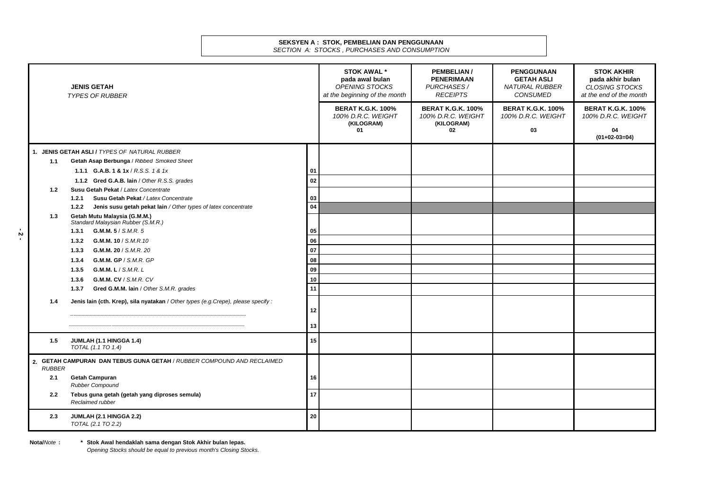#### **SEKSYEN A : STOK, PEMBELIAN DAN PENGGUNAAN**  *SECTION A: STOCKS , PURCHASES AND CONSUMPTION*

|                                                                                         | <b>JENIS GETAH</b><br><b>TYPES OF RUBBER</b>                                                |                | <b>STOK AWAL *</b><br>pada awal bulan<br><b>OPENING STOCKS</b><br>at the beginning of the month | PEMBELIAN /<br><b>PENERIMAAN</b><br><b>PURCHASES /</b><br><b>RECEIPTS</b> | <b>PENGGUNAAN</b><br><b>GETAH ASLI</b><br><b>NATURAL RUBBER</b><br>CONSUMED | <b>STOK AKHIR</b><br>pada akhir bulan<br><b>CLOSING STOCKS</b><br>at the end of the month |
|-----------------------------------------------------------------------------------------|---------------------------------------------------------------------------------------------|----------------|-------------------------------------------------------------------------------------------------|---------------------------------------------------------------------------|-----------------------------------------------------------------------------|-------------------------------------------------------------------------------------------|
|                                                                                         |                                                                                             |                | <b>BERAT K.G.K. 100%</b><br>100% D.R.C. WEIGHT<br>(KILOGRAM)<br>01                              | <b>BERAT K.G.K. 100%</b><br>100% D.R.C. WEIGHT<br>(KILOGRAM)<br>02        | <b>BERAT K.G.K. 100%</b><br>100% D.R.C. WEIGHT<br>03                        | <b>BERAT K.G.K. 100%</b><br>100% D.R.C. WEIGHT<br>04<br>$(01+02-03=04)$                   |
|                                                                                         |                                                                                             |                |                                                                                                 |                                                                           |                                                                             |                                                                                           |
|                                                                                         | 1. JENIS GETAH ASLI / TYPES OF NATURAL RUBBER                                               |                |                                                                                                 |                                                                           |                                                                             |                                                                                           |
| 1.1                                                                                     | Getah Asap Berbunga / Ribbed Smoked Sheet<br>1.1.1 <b>G.A.B. 1 &amp; 1x</b> / R.S.S. 1 & 1x |                |                                                                                                 |                                                                           |                                                                             |                                                                                           |
|                                                                                         |                                                                                             | 01<br>$\bf 02$ |                                                                                                 |                                                                           |                                                                             |                                                                                           |
| 1.2                                                                                     | 1.1.2 Gred G.A.B. lain / Other R.S.S. grades<br>Susu Getah Pekat / Latex Concentrate        |                |                                                                                                 |                                                                           |                                                                             |                                                                                           |
|                                                                                         | Susu Getah Pekat / Latex Concentrate<br>1.2.1                                               | 03             |                                                                                                 |                                                                           |                                                                             |                                                                                           |
|                                                                                         | Jenis susu getah pekat lain / Other types of latex concentrate<br>1.2.2                     | 04             |                                                                                                 |                                                                           |                                                                             |                                                                                           |
| 1.3                                                                                     | Getah Mutu Malaysia (G.M.M.)<br>Standard Malaysian Rubber (S.M.R.)                          |                |                                                                                                 |                                                                           |                                                                             |                                                                                           |
|                                                                                         | G.M.M. 5 / S.M.R. 5<br>1.3.1                                                                | 05             |                                                                                                 |                                                                           |                                                                             |                                                                                           |
|                                                                                         | G.M.M. 10 / S.M.R.10<br>1.3.2                                                               | 06             |                                                                                                 |                                                                           |                                                                             |                                                                                           |
|                                                                                         | G.M.M. 20 / S.M.R. 20<br>1.3.3                                                              | 07             |                                                                                                 |                                                                           |                                                                             |                                                                                           |
|                                                                                         | G.M.M. GP / S.M.R. GP<br>1.3.4                                                              | 08             |                                                                                                 |                                                                           |                                                                             |                                                                                           |
|                                                                                         | G.M.M. L / S.M.R. L<br>1.3.5                                                                | 09             |                                                                                                 |                                                                           |                                                                             |                                                                                           |
|                                                                                         | G.M.M. CV / S.M.R. CV<br>1.3.6                                                              | 10             |                                                                                                 |                                                                           |                                                                             |                                                                                           |
|                                                                                         | Gred G.M.M. lain / Other S.M.R. grades<br>1.3.7                                             | 11             |                                                                                                 |                                                                           |                                                                             |                                                                                           |
| 1.4                                                                                     | Jenis lain (cth. Krep), sila nyatakan / Other types (e.g. Crepe), please specify:           |                |                                                                                                 |                                                                           |                                                                             |                                                                                           |
|                                                                                         |                                                                                             | 12             |                                                                                                 |                                                                           |                                                                             |                                                                                           |
|                                                                                         |                                                                                             | 13             |                                                                                                 |                                                                           |                                                                             |                                                                                           |
| 1.5                                                                                     | JUMLAH (1.1 HINGGA 1.4)<br>TOTAL (1.1 TO 1.4)                                               | 15             |                                                                                                 |                                                                           |                                                                             |                                                                                           |
| 2. GETAH CAMPURAN DAN TEBUS GUNA GETAH / RUBBER COMPOUND AND RECLAIMED<br><b>RUBBER</b> |                                                                                             |                |                                                                                                 |                                                                           |                                                                             |                                                                                           |
| 2.1                                                                                     | <b>Getah Campuran</b><br><b>Rubber Compound</b>                                             | 16             |                                                                                                 |                                                                           |                                                                             |                                                                                           |
| $2.2^{\circ}$                                                                           | Tebus guna getah (getah yang diproses semula)                                               | 17             |                                                                                                 |                                                                           |                                                                             |                                                                                           |
|                                                                                         | Reclaimed rubber                                                                            |                |                                                                                                 |                                                                           |                                                                             |                                                                                           |
| 2.3                                                                                     | JUMLAH (2.1 HINGGA 2.2)<br>TOTAL (2.1 TO 2.2)                                               | 20             |                                                                                                 |                                                                           |                                                                             |                                                                                           |

**Nota/***Note* **: \* Stok Awal hendaklah sama dengan Stok Akhir bulan lepas.** 

*Opening Stocks should be equal to previous month's Closing Stocks.*

**- 2 -**

- 2 -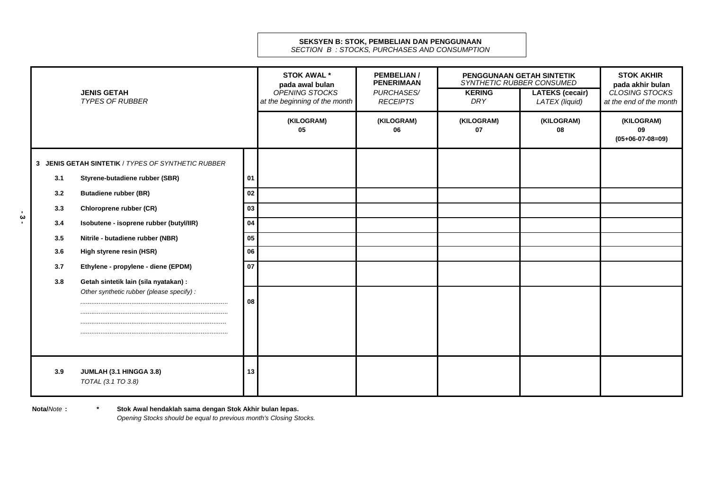# **SEKSYEN B: STOK, PEMBELIAN DAN PENGGUNAAN**

*SECTION B : STOCKS, PURCHASES AND CONSUMPTION*

|                                                      | <b>JENIS GETAH</b><br><b>TYPES OF RUBBER</b>                                                                                                                                                                                                                                                                                               |                                        | <b>STOK AWAL *</b><br>pada awal bulan<br>OPENING STOCKS<br>at the beginning of the month | <b>PEMBELIAN/</b><br><b>PENERIMAAN</b><br>PURCHASES/<br><b>RECEIPTS</b> | PENGGUNAAN GETAH SINTETIK<br>SYNTHETIC RUBBER CONSUMED<br><b>KERING</b><br><b>DRY</b> | <b>LATEKS (cecair)</b><br>LATEX (liquid) | <b>STOK AKHIR</b><br>pada akhir bulan<br>CLOSING STOCKS<br>at the end of the month |
|------------------------------------------------------|--------------------------------------------------------------------------------------------------------------------------------------------------------------------------------------------------------------------------------------------------------------------------------------------------------------------------------------------|----------------------------------------|------------------------------------------------------------------------------------------|-------------------------------------------------------------------------|---------------------------------------------------------------------------------------|------------------------------------------|------------------------------------------------------------------------------------|
|                                                      |                                                                                                                                                                                                                                                                                                                                            |                                        | (KILOGRAM)<br>05                                                                         | (KILOGRAM)<br>06                                                        | (KILOGRAM)<br>07                                                                      | (KILOGRAM)<br>08                         | (KILOGRAM)<br>09<br>$(05+06-07-08=09)$                                             |
| 3.1<br>3.2<br>3.3<br>3.4<br>3.5<br>3.6<br>3.7<br>3.8 | 3 JENIS GETAH SINTETIK / TYPES OF SYNTHETIC RUBBER<br>Styrene-butadiene rubber (SBR)<br><b>Butadiene rubber (BR)</b><br>Chloroprene rubber (CR)<br>Isobutene - isoprene rubber (butyl/IIR)<br>Nitrile - butadiene rubber (NBR)<br>High styrene resin (HSR)<br>Ethylene - propylene - diene (EPDM)<br>Getah sintetik lain (sila nyatakan) : | 01<br>02<br>03<br>04<br>05<br>06<br>07 |                                                                                          |                                                                         |                                                                                       |                                          |                                                                                    |
|                                                      | Other synthetic rubber (please specify):                                                                                                                                                                                                                                                                                                   | 08                                     |                                                                                          |                                                                         |                                                                                       |                                          |                                                                                    |
| 3.9                                                  | JUMLAH (3.1 HINGGA 3.8)<br>TOTAL (3.1 TO 3.8)                                                                                                                                                                                                                                                                                              | 13                                     |                                                                                          |                                                                         |                                                                                       |                                          |                                                                                    |

**- 3 -**

**Nota/***Note* **: \* \* Stok Awal hendaklah sama dengan Stok Akhir bulan lepas.**  *Opening Stocks should be equal to previous month's Closing Stocks.*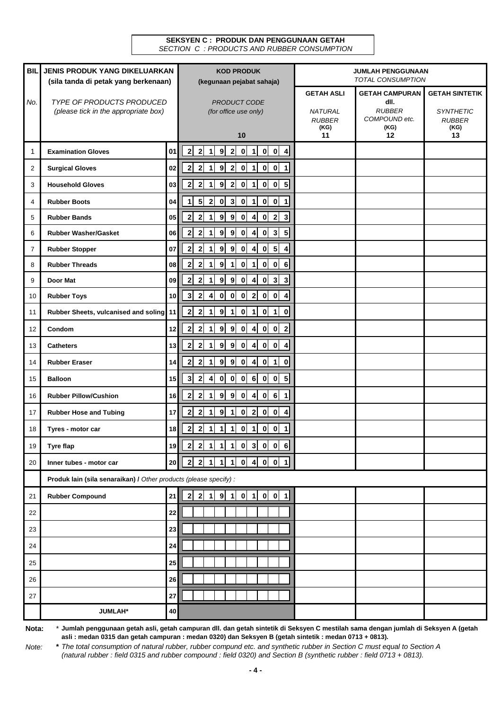#### **SEKSYEN C : PRODUK DAN PENGGUNAAN GETAH**  *SECTION C : PRODUCTS AND RUBBER CONSUMPTION*

| <b>BIL</b> | <b>JENIS PRODUK YANG DIKELUARKAN</b>                              |                 | <b>KOD PRODUK</b>                                                                                                                              | <b>JUMLAH PENGGUNAAN</b><br><b>TOTAL CONSUMPTION</b>         |                                                |                                                                    |
|------------|-------------------------------------------------------------------|-----------------|------------------------------------------------------------------------------------------------------------------------------------------------|--------------------------------------------------------------|------------------------------------------------|--------------------------------------------------------------------|
|            | (sila tanda di petak yang berkenaan)                              |                 | (kegunaan pejabat sahaja)                                                                                                                      |                                                              | <b>GETAH CAMPURAN</b>                          |                                                                    |
| No.        | TYPE OF PRODUCTS PRODUCED<br>(please tick in the appropriate box) |                 | PRODUCT CODE<br>(for office use only)                                                                                                          | <b>GETAH ASLI</b><br><b>NATURAL</b><br><b>RUBBER</b><br>(KG) | dll.<br><b>RUBBER</b><br>COMPOUND etc.<br>(KG) | <b>GETAH SINTETIK</b><br><b>SYNTHETIC</b><br><b>RUBBER</b><br>(KG) |
|            |                                                                   |                 | 10                                                                                                                                             | 11                                                           | 12                                             | 13                                                                 |
| 1          | <b>Examination Gloves</b>                                         | 01              | $\overline{\mathbf{2}}$<br>0   1   0   0   4<br>$\overline{2}$<br>$\overline{\mathbf{2}}$<br>9<br>1                                            |                                                              |                                                |                                                                    |
| 2          | <b>Surgical Gloves</b>                                            | 02              | $\overline{\mathbf{2}}$<br>9<br> 0 <br>$0$ 0<br>$\overline{1}$<br>$\overline{2}$<br>$\overline{2}$<br>$\vert$ 1<br>1                           |                                                              |                                                |                                                                    |
| 3          | <b>Household Gloves</b>                                           | 03              | $0$ 0 5<br>$\overline{\mathbf{2}}$<br>$\boldsymbol{9}$<br>$\overline{2}$<br> 0 <br>$\vert$ 1<br>$\mathbf{2}$                                   |                                                              |                                                |                                                                    |
| 4          | <b>Rubber Boots</b>                                               | 04              | $0$ 0 1<br>5<br>$\mathbf 0$<br>$\overline{\mathbf{3}}$<br>$\mathbf{0}$<br>$\vert$ 1<br>$\overline{2}$<br>1                                     |                                                              |                                                |                                                                    |
| 5          | <b>Rubber Bands</b>                                               | 05              | $\overline{\mathbf{2}}$<br>$0 \quad 2$<br>$\mathbf{3}$<br>$\mathbf{2}$<br>$\boldsymbol{9}$<br>9<br> 0 <br>$\overline{4}$<br>1                  |                                                              |                                                |                                                                    |
| 6          | <b>Rubber Washer/Gasket</b>                                       | 06              | $0 \vert 3 \vert$<br>$5\phantom{1}$<br>$\overline{\mathbf{2}}$<br>$\boldsymbol{9}$<br>9<br> 0 <br>$\vert$<br>$\mathbf{2}$                      |                                                              |                                                |                                                                    |
| 7          | <b>Rubber Stopper</b>                                             | 07              | $0 \vert 5 \vert$<br>$\mathbf 2$<br>9<br>$\mathbf{9}$<br>$\pmb{0}$<br>$\overline{2}$<br>$\overline{4}$<br>4<br>1                               |                                                              |                                                |                                                                    |
| 8          | <b>Rubber Threads</b>                                             | 08              | $0$ 0<br>$\overline{2}$<br>9<br>$\pmb{0}$<br>6<br>$\mathbf{2}$<br>1<br>$\mathbf{1}$<br>1                                                       |                                                              |                                                |                                                                    |
| 9          | Door Mat                                                          | 09              | $\overline{\mathbf{2}}$<br>$\boldsymbol{9}$<br>9<br>$\pmb{0}$<br>$\overline{4}$<br>$0 \vert 3 \vert$<br>$\mathbf{3}$<br>$\overline{2}$<br>1    |                                                              |                                                |                                                                    |
| 10         | <b>Rubber Toys</b>                                                | 10              | $\overline{\mathbf{2}}$<br>$\overline{2}$<br>$\overline{\mathbf{3}}$<br> 0 <br> 0 <br> 0 <br>$0$ 0<br>$\overline{\mathbf{4}}$<br>4             |                                                              |                                                |                                                                    |
| 11         | Rubber Sheets, vulcanised and soling                              | 11              | $\pmb{0}$<br>$0$   1<br>2 <sub>l</sub><br>$\overline{\mathbf{2}}$<br>$\boldsymbol{9}$<br>$\mathbf{r}$<br>$\mathbf 0$<br>1<br>1                 |                                                              |                                                |                                                                    |
| 12         | Condom                                                            | 12              | $\overline{\mathbf{2}}$<br>9   9   0   4   0   0   2<br>$\mathbf{2}$<br>$\ddot{ }$                                                             |                                                              |                                                |                                                                    |
| 13         | <b>Catheters</b>                                                  | 13              | $0$ 0<br>$\overline{\mathbf{2}}$<br>9<br>$\overline{9}$<br>$\mathbf{0}$<br>$\overline{4}$<br>$\mathbf{2}$<br>$\overline{4}$<br>$\mathbf 1$     |                                                              |                                                |                                                                    |
| 14         | <b>Rubber Eraser</b>                                              | 14              | $\overline{4}$<br>$\overline{\mathbf{2}}$<br>$\boldsymbol{9}$<br>9<br> 0 <br>$0$ 1<br>$\mathbf{2}$<br>$\mathbf 0$<br>1                         |                                                              |                                                |                                                                    |
| 15         | <b>Balloon</b>                                                    | 15              | $0 \mid 6 \mid 0 \mid 0 \mid 5$<br>$\overline{\mathbf{2}}$<br>$\mathbf{0}$<br> 0 <br>$\mathbf{3}$<br>4                                         |                                                              |                                                |                                                                    |
| 16         | <b>Rubber Pillow/Cushion</b>                                      | 16              | 0 6 <br>$\overline{\mathbf{2}}$<br>$\boldsymbol{9}$<br>$\overline{9}$<br>$\mathbf{0}$<br>$\overline{4}$<br>$\mathbf{1}$<br>$\overline{2}$<br>1 |                                                              |                                                |                                                                    |
| 17         | <b>Rubber Hose and Tubing</b>                                     | 17              | $\overline{\mathbf{2}}$<br>$\overline{2}$<br>$0$ 0<br>$\boldsymbol{9}$<br>$\mathbf{0}$<br>$\overline{\mathbf{4}}$<br>$\mathbf{2}$<br>1         |                                                              |                                                |                                                                    |
| 18         | Tyres - motor car                                                 | 18              | $\overline{\mathbf{2}}$<br>$\mathbf{2}$<br> 0 <br>$\vert$ 1<br>$0$ 0 1<br>$\mathbf{1}$<br>1<br>1                                               |                                                              |                                                |                                                                    |
| 19         | <b>Tyre flap</b>                                                  | 19              | $2$ 2 1 1 1 1 0 3 0 0 6                                                                                                                        |                                                              |                                                |                                                                    |
| 20         | Inner tubes - motor car                                           | 20 <sub>2</sub> | 2 2 1 1 1 1 0 4 0 0 1                                                                                                                          |                                                              |                                                |                                                                    |
|            | Produk lain (sila senaraikan) / Other products (please specify) : |                 |                                                                                                                                                |                                                              |                                                |                                                                    |
| 21         | <b>Rubber Compound</b>                                            | 21              | $1$ 9 1 0 1 0 1 1<br>$\mathbf{2}$<br>$\mathbf{2}$                                                                                              |                                                              |                                                |                                                                    |
| 22         |                                                                   | 22              |                                                                                                                                                |                                                              |                                                |                                                                    |
| 23         |                                                                   | 23              |                                                                                                                                                |                                                              |                                                |                                                                    |
| 24         |                                                                   | 24              |                                                                                                                                                |                                                              |                                                |                                                                    |
| 25         |                                                                   | 25              |                                                                                                                                                |                                                              |                                                |                                                                    |
| 26         |                                                                   | 26              |                                                                                                                                                |                                                              |                                                |                                                                    |
| 27         |                                                                   | ${\bf 27}$      |                                                                                                                                                |                                                              |                                                |                                                                    |
|            | <b>JUMLAH*</b>                                                    | 40              |                                                                                                                                                |                                                              |                                                |                                                                    |

**Nota:** \* **Jumlah penggunaan getah asli, getah campuran dll. dan getah sintetik di Seksyen C mestilah sama dengan jumlah di Seksyen A (getah asli : medan 0315 dan getah campuran : medan 0320) dan Seksyen B (getah sintetik : medan 0713 + 0813).**

*Note:* **\*** *The total consumption of natural rubber, rubber compund etc. and synthetic rubber in Section C must equal to Section A (natural rubber : field 0315 and rubber compound : field 0320) and Section B (synthetic rubber : field 0713 + 0813).*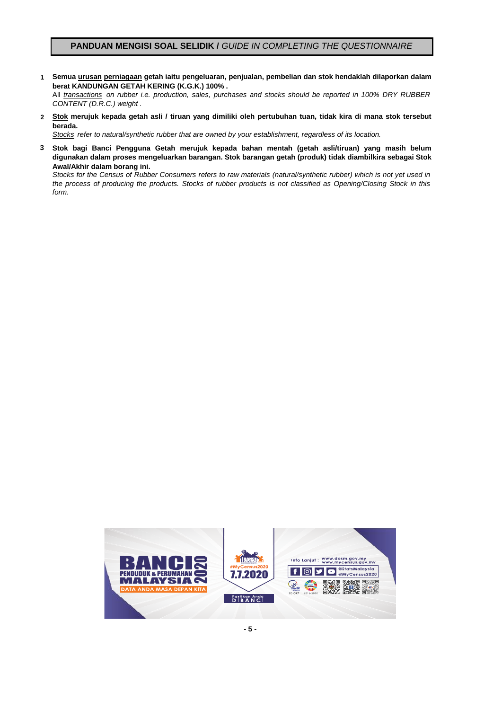### **PANDUAN MENGISI SOAL SELIDIK /** *GUIDE IN COMPLETING THE QUESTIONNAIRE*

**1 Semua urusan perniagaan getah iaitu pengeluaran, penjualan, pembelian dan stok hendaklah dilaporkan dalam berat KANDUNGAN GETAH KERING (K.G.K.) 100% .**

All *transactions on rubber i.e. production, sales, purchases and stocks should be reported in 100% DRY RUBBER CONTENT (D.R.C.) weight .*

2 <u>Stok</u> merujuk kepada getah asli / tiruan yang dimiliki oleh pertubuhan tuan, tidak kira di mana stok tersebut **berada.**

*Stocks refer to natural/synthetic rubber that are owned by your establishment, regardless of its location.*

**3 Stok bagi Banci Pengguna Getah merujuk kepada bahan mentah (getah asli/tiruan) yang masih belum digunakan dalam proses mengeluarkan barangan. Stok barangan getah (produk) tidak diambilkira sebagai Stok Awal/Akhir dalam borang ini.**

Stocks for the Census of Rubber Consumers refers to raw materials (natural/synthetic rubber) which is not yet used in the process of producing the products. Stocks of rubber products is not classified as Opening/Closing Stock in this *form.*